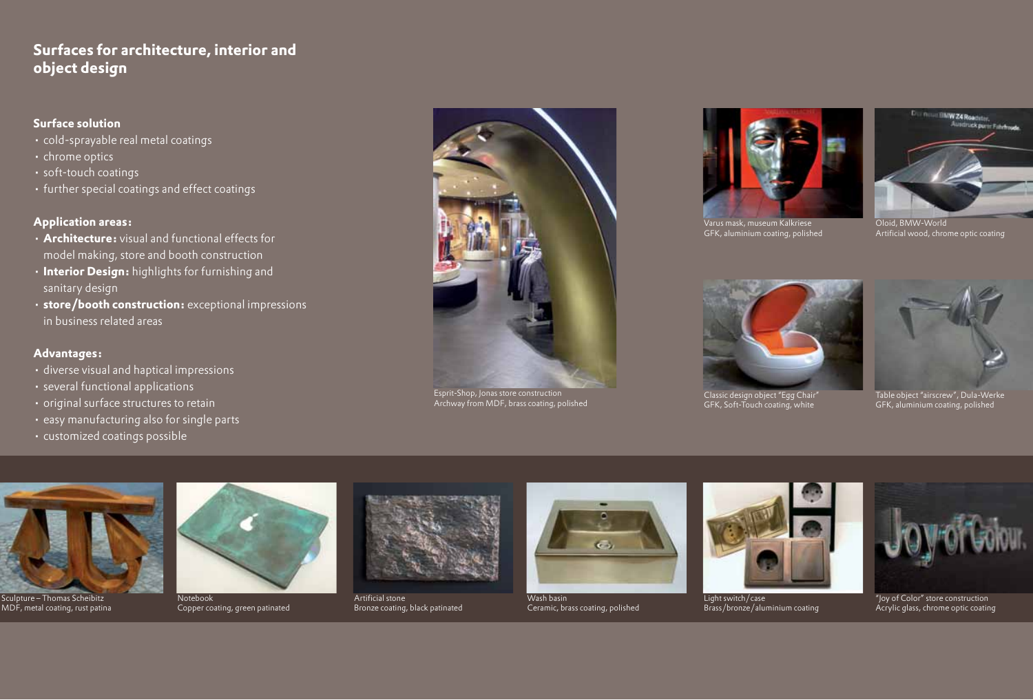## **Surfaces for architecture, interior and object design**

#### **Surface solution**

- • cold-sprayable real metal coatings
- • chrome optics
- • soft-touch coatings
- further special coatings and effect coatings

### **Application areas:**

- • **Architecture:** visual and functional effects for model making, store and booth construction
- • **Interior Design:** highlights for furnishing and sanitary design
- • **store/booth construction:** exceptional impressions in business related areas

#### **Advantages:**

- • diverse visual and haptical impressions
- several functional applications
- • original surface structures to retain
- easy manufacturing also for single parts
- • customized coatings possible



Esprit-Shop, Jonas store construction Archway from MDF, brass coating, polished



Varus mask, museum Kalkriese GFK, aluminium coating, polished



Oloid, BMW-World Artificial wood, chrome optic coating



Classic design object "Egg Chair" GFK, Soft-Touch coating, white



Table object "airscrew", Dula-Werke GFK, aluminium coating, polished



Sculpture – Thomas Scheibitz MDF, metal coating, rust patina



Copper coating, green patinated



Artificial stone Bronze coating, black patinated



Wash basin Ceramic, brass coating, polished



Light switch/case Brass/bronze/aluminium coating



"Joy of Color" store construction Acrylic glass, chrome optic coating